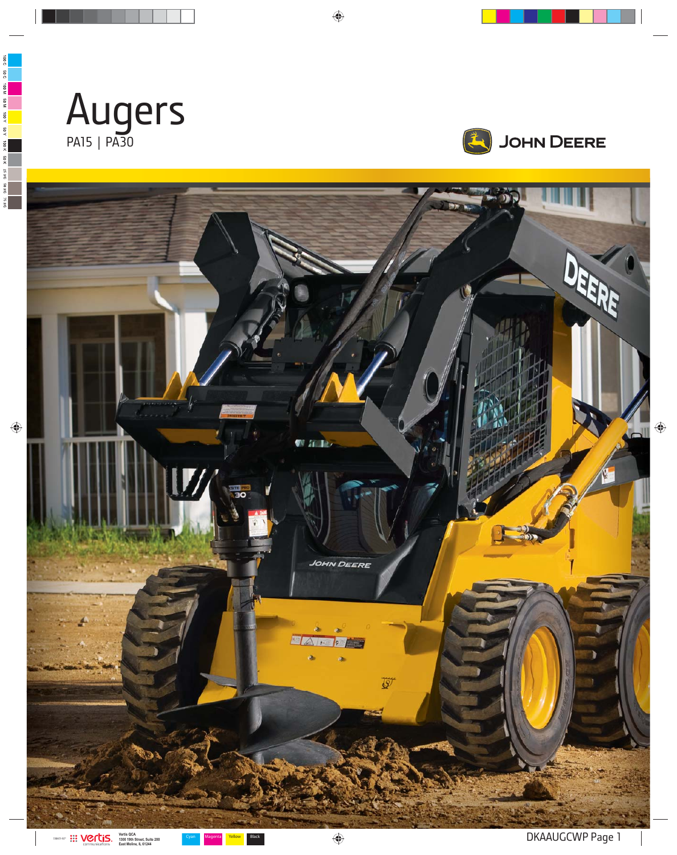